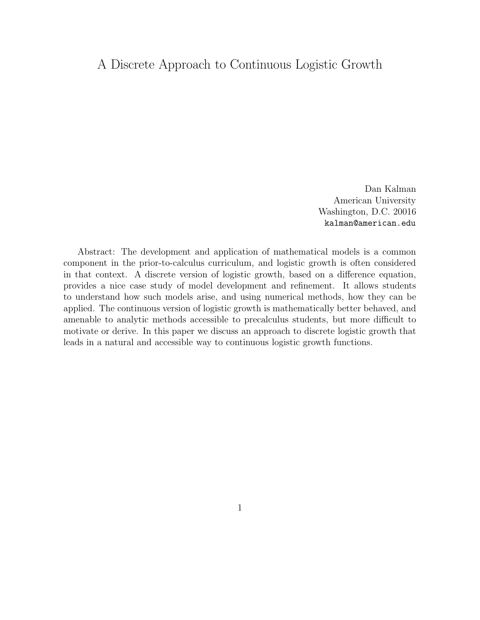# $A_1$  discrete Approach to Continuous Logistic Growth

Dan Kalman American University Washington, D.C. 20016 kalman@american.edu

Abstract: The development and application of mathematical models is a common component in the prior-to-calculus curriculum, and logistic growth is often considered in that context. A discrete version of logistic growth, based on a difference equation, provides a nice case study of model development and refinement. It allows students to understand how such models arise, and using numerical methods, how they can be applied. The continuous version of logistic growth is mathematically better behaved, and amenable to analytic methods accessible to precalculus students, but more difficult to motivate or derive. In this paper we discuss an approach to discrete logistic growth that leads in a natural and accessible way to continuous logistic growth functions.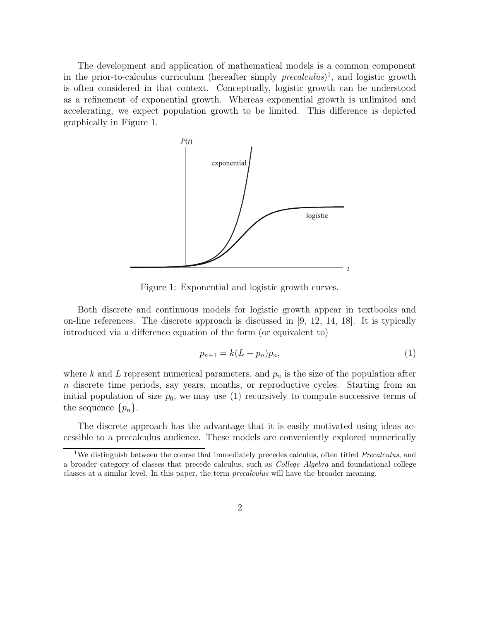The development and application of mathematical models is a common component in the prior-to-calculus curriculum (hereafter simply  $precalculus)$ <sup>1</sup>, and logistic growth is often considered in that context. Conceptually, logistic growth can be understood as a refinement of exponential growth. Whereas exponential growth is unlimited and accelerating, we expect population growth to be limited. This difference is depicted graphically in Figure 1.



Figure 1: Exponential and logistic growth curves.

Both discrete and continuous models for logistic growth appear in textbooks and on-line references. The discrete approach is discussed in [9, 12, 14, 18]. It is typically introduced via a difference equation of the form (or equivalent to)

$$
p_{n+1} = k(L - p_n)p_n,
$$
\n(1)

where  $k$  and  $L$  represent numerical parameters, and  $p_n$  is the size of the population after *n* discrete time periods, say years, months, or reproductive cycles. Starting from an initial population of size  $p_0$ , we may use (1) recursively to compute successive terms of the sequence  $\{p_n\}$ .

The discrete approach has the advantage that it is easily motivated using ideas accessible to a precalculus audience. These models are conveniently explored numerically

<sup>1</sup>We distinguish between the course that immediately precedes calculus, often titled *Precalculus*, and a broader category of classes that precede calculus, such as *College Algebra* and foundational college classes at a similar level. In this paper, the term *precalculus* will have the broader meaning.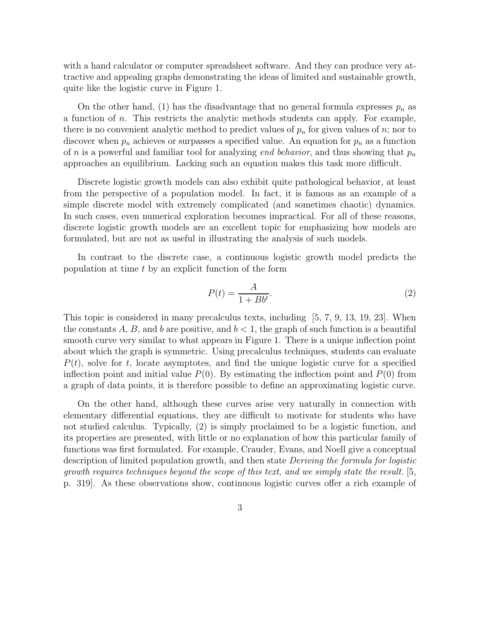with a hand calculator or computer spreadsheet software. And they can produce very attractive and appealing graphs demonstrating the ideas of limited and sustainable growth, quite like the logistic curve in Figure 1.

On the other hand, (1) has the disadvantage that no general formula expresses  $p_n$  as a function of *n*. This restricts the analytic methods students can apply. For example, there is no convenient analytic method to predict values of  $p_n$  for given values of *n*; nor to discover when  $p_n$  achieves or surpasses a specified value. An equation for  $p_n$  as a function of *<sup>n</sup>* is a powerful and familiar tool for analyzing end behavior, and thus showing that *<sup>p</sup>n* approaches an equilibrium. Lacking such an equation makes this task more difficult.

Discrete logistic growth models can also exhibit quite pathological behavior, at least from the perspective of a population model. In fact, it is famous as an example of a simple discrete model with extremely complicated (and sometimes chaotic) dynamics. In such cases, even numerical exploration becomes impractical. For all of these reasons, discrete logistic growth models are an excellent topic for emphasizing how models are formulated, but are not as useful in illustrating the analysis of such models.

In contrast to the discrete case, a continuous logistic growth model predicts the population at time *t* by an explicit function of the form

$$
P(t) = \frac{A}{1 + Bb^t}.\tag{2}
$$

This topic is considered in many precalculus texts, including [5, 7, 9, 13, 19, 23]. When the constants  $A, B$ , and  $b$  are positive, and  $b < 1$ , the graph of such function is a beautiful smooth curve very similar to what appears in Figure 1. There is a unique inflection point about which the graph is symmetric. Using precalculus techniques, students can evaluate  $P(t)$ , solve for *t*, locate asymptotes, and find the unique logistic curve for a specified inflection point and initial value  $P(0)$ . By estimating the inflection point and  $P(0)$  from a graph of data points, it is therefore possible to define an approximating logistic curve.

On the other hand, although these curves arise very naturally in connection with elementary differential equations, they are difficult to motivate for students who have not studied calculus. Typically, (2) is simply proclaimed to be a logistic function, and its properties are presented, with little or no explanation of how this particular family of functions was first formulated. For example, Crauder, Evans, and Noell give a conceptual description of limited population growth, and then state Deriving the formula for logistic growth requires techniques beyond the scope of this text, and we simply state the result. [5, p. 319]. As these observations show, continuous logistic curves offer a rich example of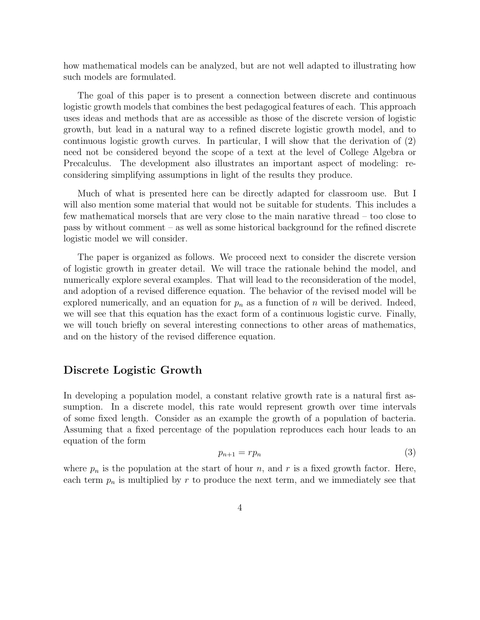how mathematical models can be analyzed, but are not well adapted to illustrating how such models are formulated.

The goal of this paper is to present a connection between discrete and continuous logistic growth models that combines the best pedagogical features of each. This approach uses ideas and methods that are as accessible as those of the discrete version of logistic growth, but lead in a natural way to a refined discrete logistic growth model, and to continuous logistic growth curves. In particular, I will show that the derivation of (2) need not be considered beyond the scope of a text at the level of College Algebra or Precalculus. The development also illustrates an important aspect of modeling: reconsidering simplifying assumptions in light of the results they produce.

Much of what is presented here can be directly adapted for classroom use. But I will also mention some material that would not be suitable for students. This includes a few mathematical morsels that are very close to the main narative thread – too close to pass by without comment – as well as some historical background for the refined discrete logistic model we will consider.

The paper is organized as follows. We proceed next to consider the discrete version of logistic growth in greater detail. We will trace the rationale behind the model, and numerically explore several examples. That will lead to the reconsideration of the model, and adoption of a revised difference equation. The behavior of the revised model will be explored numerically, and an equation for  $p_n$  as a function of  $n$  will be derived. Indeed, we will see that this equation has the exact form of a continuous logistic curve. Finally, we will touch briefly on several interesting connections to other areas of mathematics, and on the history of the revised difference equation.

#### **Discrete Logistic Growth**

In developing a population model, a constant relative growth rate is a natural first assumption. In a discrete model, this rate would represent growth over time intervals of some fixed length. Consider as an example the growth of a population of bacteria. Assuming that a fixed percentage of the population reproduces each hour leads to an equation of the form

$$
p_{n+1} = rp_n \tag{3}
$$

where  $p_n$  is the population at the start of hour *n*, and *r* is a fixed growth factor. Here,<br>each term *n* is multiplied by *r* to produce the next term and we immediately see that each term  $p_n$  is multiplied by  $r$  to produce the next term, and we immediately see that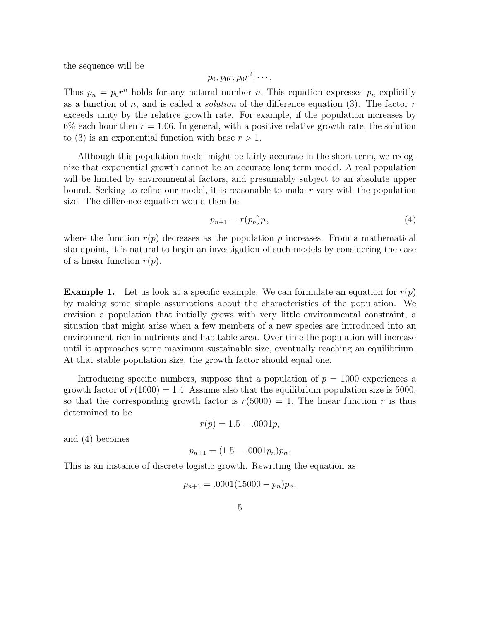the sequence will be

$$
p_0, p_0r, p_0r^2, \cdots.
$$

Thus  $p_n = p_0 r^n$  holds for any natural number *n*. This equation expresses  $p_n$  explicitly as a function of *n*, and is called a solution of the difference equation (3). The factor *r* exceeds unity by the relative growth rate. For example, if the population increases by  $6\%$  each hour then  $r = 1.06$ . In general, with a positive relative growth rate, the solution to (3) is an exponential function with base  $r > 1$ .

Although this population model might be fairly accurate in the short term, we recognize that exponential growth cannot be an accurate long term model. A real population will be limited by environmental factors, and presumably subject to an absolute upper bound. Seeking to refine our model, it is reasonable to make *r* vary with the population size. The difference equation would then be

$$
p_{n+1} = r(p_n)p_n \tag{4}
$$

where the function  $r(p)$  decreases as the population  $p$  increases. From a mathematical standpoint, it is natural to begin an investigation of such models by considering the case of a linear function *r*(*p*).

**Example 1.** Let us look at a specific example. We can formulate an equation for  $r(p)$ by making some simple assumptions about the characteristics of the population. We envision a population that initially grows with very little environmental constraint, a situation that might arise when a few members of a new species are introduced into an environment rich in nutrients and habitable area. Over time the population will increase until it approaches some maximum sustainable size, eventually reaching an equilibrium. At that stable population size, the growth factor should equal one.

Introducing specific numbers, suppose that a population of  $p = 1000$  experiences a growth factor of  $r(1000) = 1.4$ . Assume also that the equilibrium population size is 5000, so that the corresponding growth factor is  $r(5000) = 1$ . The linear function r is thus determined to be

$$
r(p) = 1.5 - .0001p,
$$

and (4) becomes

$$
p_{n+1} = (1.5 - .0001p_n)p_n.
$$

This is an instance of discrete logistic growth. Rewriting the equation as

$$
p_{n+1} = .0001(15000 - p_n)p_n,
$$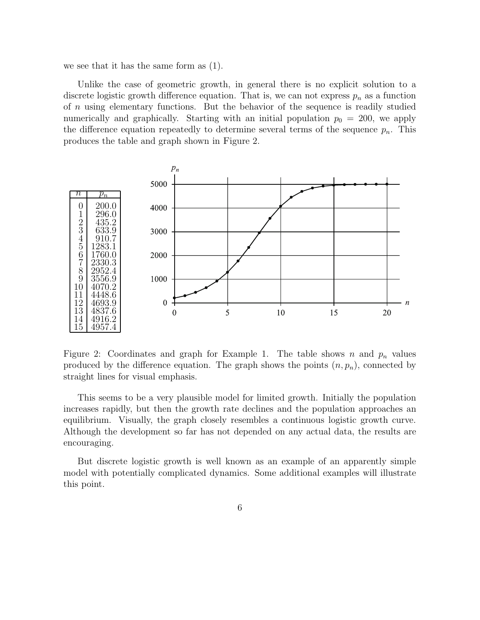we see that it has the same form as (1).

Unlike the case of geometric growth, in general there is no explicit solution to a discrete logistic growth difference equation. That is, we can not express  $p_n$  as a function of *n* using elementary functions. But the behavior of the sequence is readily studied numerically and graphically. Starting with an initial population  $p_0 = 200$ , we apply the difference equation repeatedly to determine several terms of the sequence  $p_n$ . This produces the table and graph shown in Figure 2.



Figure 2: Coordinates and graph for Example 1. The table shows *n* and  $p_n$  values produced by the difference equation. The graph shows the points  $(n, p_n)$ , connected by straight lines for visual emphasis.

This seems to be a very plausible model for limited growth. Initially the population increases rapidly, but then the growth rate declines and the population approaches an equilibrium. Visually, the graph closely resembles a continuous logistic growth curve. Although the development so far has not depended on any actual data, the results are encouraging.

But discrete logistic growth is well known as an example of an apparently simple model with potentially complicated dynamics. Some additional examples will illustrate this point.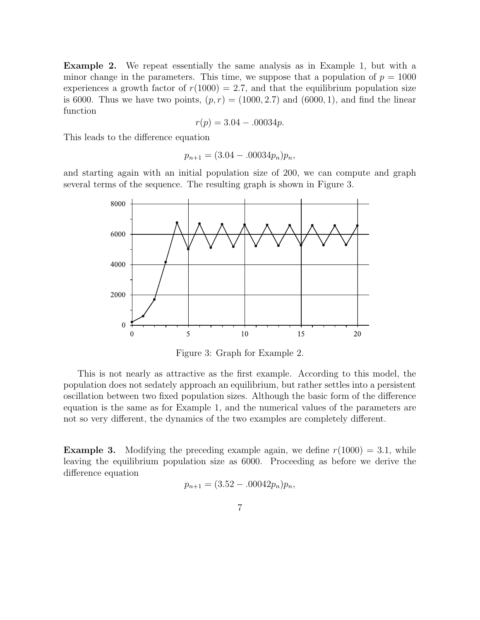**Example 2.** We repeat essentially the same analysis as in Example 1, but with a minor change in the parameters. This time, we suppose that a population of  $p = 1000$ experiences a growth factor of  $r(1000) = 2.7$ , and that the equilibrium population size is 6000. Thus we have two points,  $(p, r) = (1000, 2.7)$  and  $(6000, 1)$ , and find the linear function

$$
r(p) = 3.04 - 0.00034p.
$$

This leads to the difference equation

$$
p_{n+1} = (3.04 - .00034p_n)p_n,
$$

and starting again with an initial population size of 200, we can compute and graph several terms of the sequence. The resulting graph is shown in Figure 3.



Figure 3: Graph for Example 2.

This is not nearly as attractive as the first example. According to this model, the population does not sedately approach an equilibrium, but rather settles into a persistent oscillation between two fixed population sizes. Although the basic form of the difference equation is the same as for Example 1, and the numerical values of the parameters are not so very different, the dynamics of the two examples are completely different.

**Example 3.** Modifying the preceding example again, we define  $r(1000) = 3.1$ , while leaving the equilibrium population size as 6000. Proceeding as before we derive the difference equation

$$
p_{n+1} = (3.52 - .00042p_n)p_n,
$$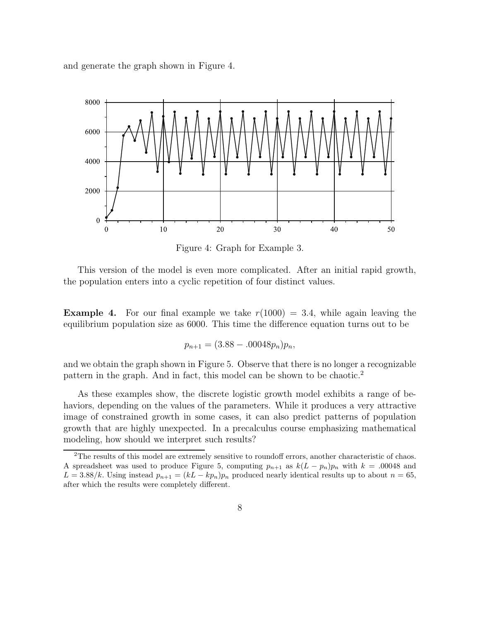and generate the graph shown in Figure 4.



Figure 4: Graph for Example 3.

This version of the model is even more complicated. After an initial rapid growth, the population enters into a cyclic repetition of four distinct values.

**Example 4.** For our final example we take  $r(1000) = 3.4$ , while again leaving the equilibrium population size as 6000. This time the difference equation turns out to be

$$
p_{n+1} = (3.88 - .00048p_n)p_n,
$$

and we obtain the graph shown in Figure 5. Observe that there is no longer a recognizable pattern in the graph. And in fact, this model can be shown to be chaotic.<sup>2</sup>

As these examples show, the discrete logistic growth model exhibits a range of behaviors, depending on the values of the parameters. While it produces a very attractive image of constrained growth in some cases, it can also predict patterns of population growth that are highly unexpected. In a precalculus course emphasizing mathematical modeling, how should we interpret such results?

<sup>&</sup>lt;sup>2</sup>The results of this model are extremely sensitive to roundoff errors, another characteristic of chaos. A spreadsheet was used to produce Figure 5, computing  $p_{n+1}$  as  $k(L - p_n)p_n$  with  $k = .00048$  and  $L = 3.88/k$ . Using instead  $p_{n+1} = (kL - kp_n)p_n$  produced nearly identical results up to about  $n = 65$ , after which the results were completely different.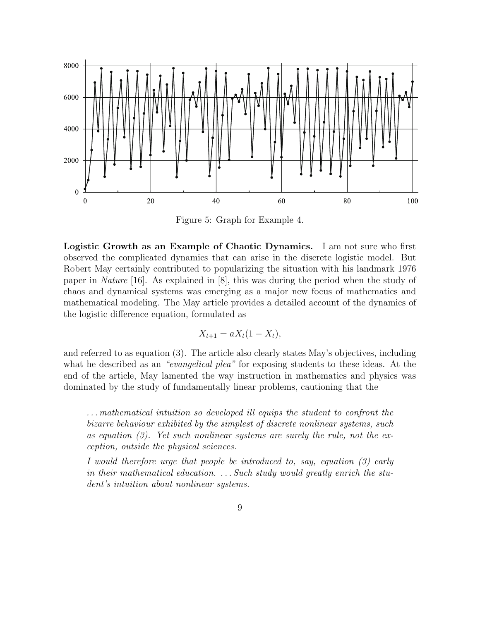

Figure 5: Graph for Example 4.

**Logistic Growth as an Example of Chaotic Dynamics.** I am not sure who first observed the complicated dynamics that can arise in the discrete logistic model. But Robert May certainly contributed to popularizing the situation with his landmark 1976 paper in Nature [16]. As explained in [8], this was during the period when the study of chaos and dynamical systems was emerging as a major new focus of mathematics and mathematical modeling. The May article provides a detailed account of the dynamics of the logistic difference equation, formulated as

$$
X_{t+1} = aX_t(1 - X_t),
$$

and referred to as equation (3). The article also clearly states May's objectives, including what he described as an "evangelical plea" for exposing students to these ideas. At the end of the article, May lamented the way instruction in mathematics and physics was dominated by the study of fundamentally linear problems, cautioning that the

. . . mathematical intuition so developed ill equips the student to confront the bizarre behaviour exhibited by the simplest of discrete nonlinear systems, such as equation  $(3)$ . Yet such nonlinear systems are surely the rule, not the exception, outside the physical sciences.

I would therefore urge that people be introduced to, say, equation (3) early in their mathematical education.  $\ldots$  Such study would greatly enrich the student's intuition about nonlinear systems.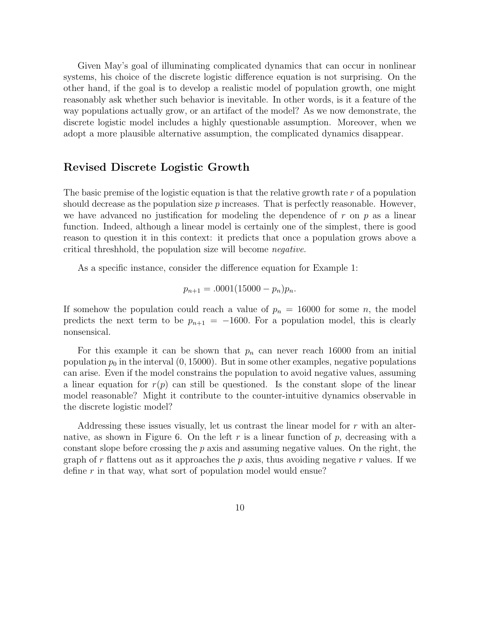Given May's goal of illuminating complicated dynamics that can occur in nonlinear systems, his choice of the discrete logistic difference equation is not surprising. On the other hand, if the goal is to develop a realistic model of population growth, one might reasonably ask whether such behavior is inevitable. In other words, is it a feature of the way populations actually grow, or an artifact of the model? As we now demonstrate, the discrete logistic model includes a highly questionable assumption. Moreover, when we adopt a more plausible alternative assumption, the complicated dynamics disappear.

#### **Revised Discrete Logistic Growth**

The basic premise of the logistic equation is that the relative growth rate *r* of a population should decrease as the population size *p* increases. That is perfectly reasonable. However, we have advanced no justification for modeling the dependence of *r* on *p* as a linear function. Indeed, although a linear model is certainly one of the simplest, there is good reason to question it in this context: it predicts that once a population grows above a critical threshhold, the population size will become negative.

As a specific instance, consider the difference equation for Example 1:

$$
p_{n+1} = .0001(15000 - p_n)p_n.
$$

If somehow the population could reach a value of  $p_n = 16000$  for some *n*, the model predicts the next term to be  $p_{n+1} = -1600$ . For a population model, this is clearly nonsensical.

For this example it can be shown that  $p_n$  can never reach 16000 from an initial population  $p_0$  in the interval  $(0, 15000)$ . But in some other examples, negative populations can arise. Even if the model constrains the population to avoid negative values, assuming a linear equation for  $r(p)$  can still be questioned. Is the constant slope of the linear model reasonable? Might it contribute to the counter-intuitive dynamics observable in the discrete logistic model?

Addressing these issues visually, let us contrast the linear model for *r* with an alternative, as shown in Figure 6. On the left  $r$  is a linear function of  $p$ , decreasing with a constant slope before crossing the *p* axis and assuming negative values. On the right, the graph of  $r$  flattens out as it approaches the  $p$  axis, thus avoiding negative  $r$  values. If we define *r* in that way, what sort of population model would ensue?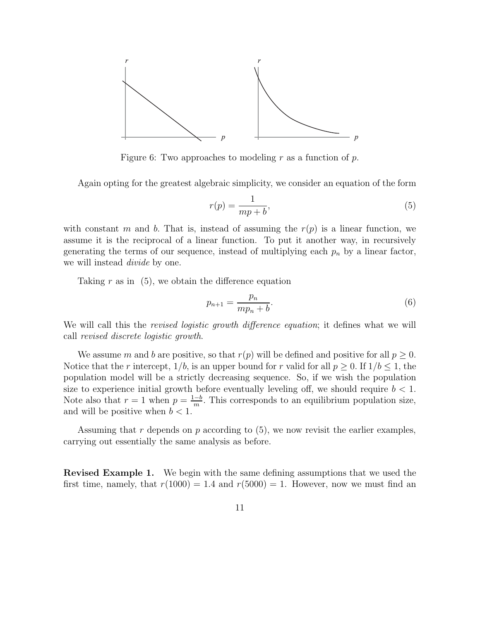

Figure 6: Two approaches to modeling *r* as a function of *p*.

Again opting for the greatest algebraic simplicity, we consider an equation of the form

$$
r(p) = \frac{1}{mp + b},\tag{5}
$$

with constant *m* and *b*. That is, instead of assuming the  $r(p)$  is a linear function, we assume it is the reciprocal of a linear function. To put it another way, in recursively generating the terms of our sequence, instead of multiplying each  $p_n$  by a linear factor, we will instead *divide* by one.

Taking *r* as in (5), we obtain the difference equation

$$
p_{n+1} = \frac{p_n}{mp_n + b}.\tag{6}
$$

We will call this the *revised logistic growth difference equation*; it defines what we will call revised discrete logistic growth.

We assume *m* and *b* are positive, so that  $r(p)$  will be defined and positive for all  $p \geq 0$ . Notice that the *r* intercept,  $1/b$ , is an upper bound for *r* valid for all  $p \ge 0$ . If  $1/b \le 1$ , the population model will be a strictly decreasing sequence. So, if we wish the population size to experience initial growth before eventually leveling off, we should require  $b < 1$ . Note also that  $r = 1$  when  $p = \frac{1-b}{m}$ . This corresponds to an equilibrium population size, and will be positive when *b <* <sup>1</sup>*.*

Assuming that *r* depends on *p* according to (5), we now revisit the earlier examples, carrying out essentially the same analysis as before.

**Revised Example 1.** We begin with the same defining assumptions that we used the first time, namely, that  $r(1000) = 1.4$  and  $r(5000) = 1$ . However, now we must find an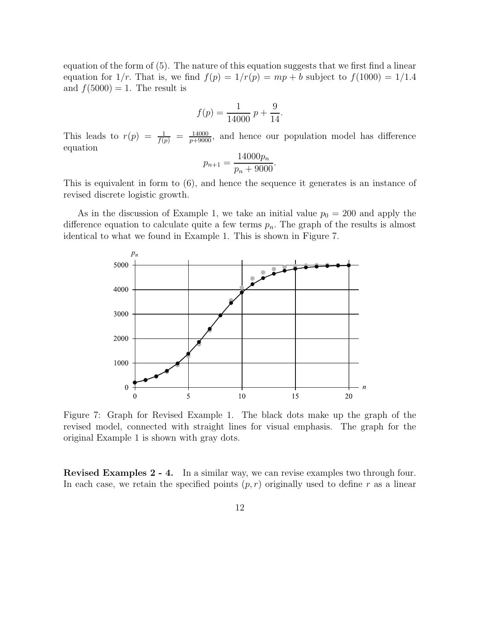equation of the form of (5). The nature of this equation suggests that we first find a linear equation for  $1/r$ . That is, we find  $f(p) = 1/r(p) = mp + b$  subject to  $f(1000) = 1/1.4$ and  $f(5000) = 1$ . The result is

$$
f(p) = \frac{1}{14000} p + \frac{9}{14}.
$$

This leads to  $r(p) = \frac{1}{f(p)} = \frac{14000}{p+9000}$ , and hence our population model has difference equation

$$
p_{n+1} = \frac{14000p_n}{p_n + 9000}.
$$

This is equivalent in form to (6), and hence the sequence it generates is an instance of revised discrete logistic growth.

As in the discussion of Example 1, we take an initial value  $p_0 = 200$  and apply the difference equation to calculate quite a few terms  $p_n$ . The graph of the results is almost identical to what we found in Example 1. This is shown in Figure 7.



Figure 7: Graph for Revised Example 1. The black dots make up the graph of the revised model, connected with straight lines for visual emphasis. The graph for the original Example 1 is shown with gray dots.

**Revised Examples 2 - 4.** In a similar way, we can revise examples two through four. In each case, we retain the specified points  $(p, r)$  originally used to define r as a linear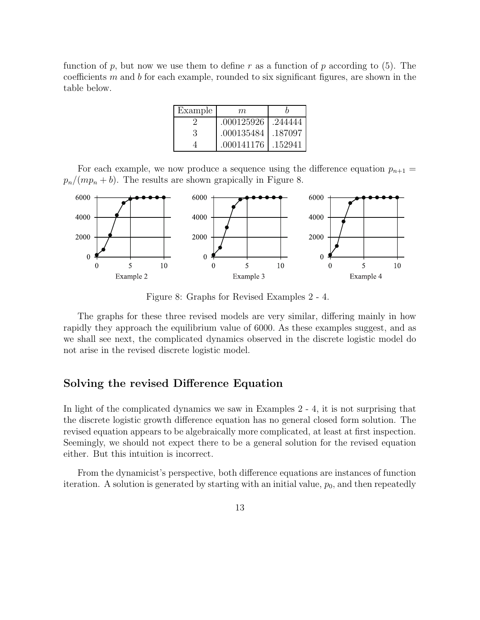function of  $p$ , but now we use them to define  $r$  as a function of  $p$  according to (5). The coefficients *m* and *b* for each example, rounded to six significant figures, are shown in the table below.

| Example | m          |         |
|---------|------------|---------|
|         | .000125926 | .244444 |
| 3       | .000135484 | .187097 |
|         | .000141176 | .152941 |
|         |            |         |

For each example, we now produce a sequence using the difference equation  $p_{n+1} =$  $p_n/(mp_n + b)$ . The results are shown grapically in Figure 8.



Figure 8: Graphs for Revised Examples 2 - 4.

The graphs for these three revised models are very similar, differing mainly in how rapidly they approach the equilibrium value of 6000*.* As these examples suggest, and as we shall see next, the complicated dynamics observed in the discrete logistic model do not arise in the revised discrete logistic model.

#### **Solving the revised Difference Equation**

In light of the complicated dynamics we saw in Examples 2 - 4, it is not surprising that the discrete logistic growth difference equation has no general closed form solution. The revised equation appears to be algebraically more complicated, at least at first inspection. Seemingly, we should not expect there to be a general solution for the revised equation either. But this intuition is incorrect.

From the dynamicist's perspective, both difference equations are instances of function iteration. A solution is generated by starting with an initial value,  $p_0$ , and then repeatedly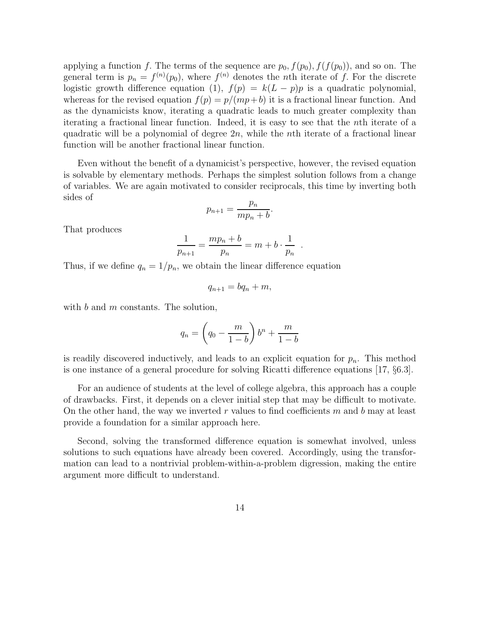applying a function *f*. The terms of the sequence are  $p_0$ ,  $f(p_0)$ ,  $f(f(p_0))$ , and so on. The general term is  $p_n = f^{(n)}(p_0)$ , where  $f^{(n)}$  denotes the *n*th iterate of *f*. For the discrete<br>logistic growth difference equation (1)  $f(n) = k(L - n)n$  is a quadratic polynomial logistic growth difference equation (1),  $f(p) = k(L - p)p$  is a quadratic polynomial, whereas for the revised equation  $f(p) = p/(mp+b)$  it is a fractional linear function. And as the dynamicists know, iterating a quadratic leads to much greater complexity than iterating a fractional linear function. Indeed, it is easy to see that the *n*th iterate of a quadratic will be a polynomial of degree 2*n*, while the *n*th iterate of a fractional linear function will be another fractional linear function.

Even without the benefit of a dynamicist's perspective, however, the revised equation is solvable by elementary methods. Perhaps the simplest solution follows from a change of variables. We are again motivated to consider reciprocals, this time by inverting both sides of

$$
p_{n+1} = \frac{p_n}{mp_n + b}.
$$

That produces

$$
\frac{1}{p_{n+1}} = \frac{mp_n + b}{p_n} = m + b \cdot \frac{1}{p_n} .
$$

Thus, if we define  $q_n = 1/p_n$ , we obtain the linear difference equation

$$
q_{n+1}=bq_n+m,
$$

with *b* and *m* constants. The solution,

$$
q_n = \left(q_0 - \frac{m}{1-b}\right)b^n + \frac{m}{1-b}
$$

is readily discovered inductively, and leads to an explicit equation for  $p_n$ . This method is one instance of a general procedure for solving Ricatti difference equations [17, §6.3].

For an audience of students at the level of college algebra, this approach has a couple of drawbacks. First, it depends on a clever initial step that may be difficult to motivate. On the other hand, the way we inverted *r* values to find coefficients *m* and *b* may at least provide a foundation for a similar approach here.

Second, solving the transformed difference equation is somewhat involved, unless solutions to such equations have already been covered. Accordingly, using the transformation can lead to a nontrivial problem-within-a-problem digression, making the entire argument more difficult to understand.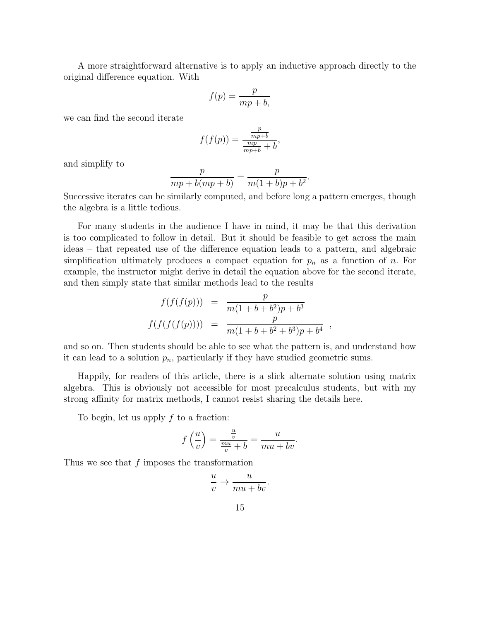A more straightforward alternative is to apply an inductive approach directly to the original difference equation. With

$$
f(p) = \frac{p}{mp + b},
$$

we can find the second iterate

$$
f(f(p)) = \frac{\frac{p}{mp+b}}{\frac{mp}{mp+b} + b},
$$

and simplify to

$$
\frac{p}{mp + b(mp + b)} = \frac{p}{m(1 + b)p + b^2}
$$

 $\frac{p}{mp + b(mp + b)} = \frac{p}{m(1 + b)p + b^2}.$ <br>Successive iterates can be similarly computed, and before long a pattern emerges, though the algebra is a little tedious.

For many students in the audience I have in mind, it may be that this derivation is too complicated to follow in detail. But it should be feasible to get across the main ideas – that repeated use of the difference equation leads to a pattern, and algebraic simplification ultimately produces a compact equation for *<sup>p</sup>n* as a function of *n.* For example, the instructor might derive in detail the equation above for the second iterate, and then simply state that similar methods lead to the results

$$
f(f(f(p))) = \frac{p}{m(1+b+b^2)p+b^3}
$$
  

$$
f(f(f(f(p)))) = \frac{p}{m(1+b+b^2+b^3)p+b^4}
$$

and so on. Then students should be able to see what the pattern is, and understand how it can lead to a solution  $p_n$ , particularly if they have studied geometric sums.

Happily, for readers of this article, there is a slick alternate solution using matrix algebra. This is obviously not accessible for most precalculus students, but with my strong affinity for matrix methods, I cannot resist sharing the details here.

To begin, let us apply *f* to a fraction:

$$
f\left(\frac{u}{v}\right) = \frac{\frac{u}{v}}{\frac{mu}{v} + b} = \frac{u}{mu + bv}.
$$

Thus we see that *f* imposes the transformation

$$
\frac{u}{v} \to \frac{u}{mu + bv}.
$$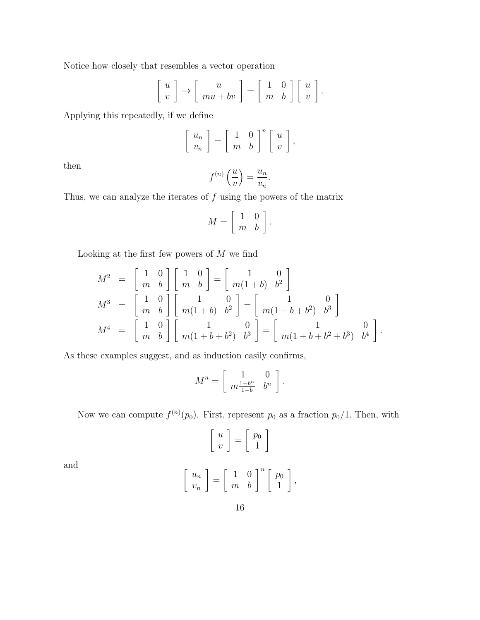Notice how closely that resembles a vector operation

$$
\left[\begin{array}{c}u\\v\end{array}\right]\rightarrow\left[\begin{array}{c}u\\mu+bv\end{array}\right]=\left[\begin{array}{cc}1&0\\m&b\end{array}\right]\left[\begin{array}{c}u\\v\end{array}\right].
$$

Applying this repeatedly, if we define

$$
\left[\begin{array}{c} u_n \\ v_n \end{array}\right] = \left[\begin{array}{cc} 1 & 0 \\ m & b \end{array}\right]^n \left[\begin{array}{c} u \\ v \end{array}\right],
$$

then

$$
f^{(n)}\left(\frac{u}{v}\right) = \frac{u_n}{v_n}
$$

Thus, we can analyze the iterates of  $f$  using the powers of the matrix

$$
M = \left[ \begin{array}{cc} 1 & 0 \\ m & b \end{array} \right].
$$

Looking at the first few powers of *M* we find

$$
M^{2} = \begin{bmatrix} 1 & 0 \\ m & b \end{bmatrix} \begin{bmatrix} 1 & 0 \\ m & b \end{bmatrix} = \begin{bmatrix} 1 & 0 \\ m(1+b) & b^{2} \end{bmatrix}
$$
  
\n
$$
M^{3} = \begin{bmatrix} 1 & 0 \\ m & b \end{bmatrix} \begin{bmatrix} 1 & 0 \\ m(1+b) & b^{2} \end{bmatrix} = \begin{bmatrix} 1 & 0 \\ m(1+b+b^{2}) & b^{3} \end{bmatrix}
$$
  
\n
$$
M^{4} = \begin{bmatrix} 1 & 0 \\ m & b \end{bmatrix} \begin{bmatrix} 1 & 0 \\ m(1+b+b^{2}) & b^{3} \end{bmatrix} = \begin{bmatrix} 1 & 0 \\ m(1+b+b^{2}+b^{3}) & b^{4} \end{bmatrix}.
$$

As these examples suggest, and as induction easily confirms,

$$
M^n = \left[ \begin{array}{cc} 1 & 0 \\ m \frac{1-b^n}{1-b} & b^n \end{array} \right].
$$

Now we can compute  $f^{(n)}(p_0)$ . First, represent  $p_0$  as a fraction  $p_0/1$ . Then, with

$$
\left[\begin{array}{c} u \\ v \end{array}\right] = \left[\begin{array}{c} p_0 \\ 1 \end{array}\right]
$$

and

$$
\left[\begin{array}{c} u_n \\ v_n \end{array}\right] = \left[\begin{array}{cc} 1 & 0 \\ m & b \end{array}\right]^n \left[\begin{array}{c} p_0 \\ 1 \end{array}\right],
$$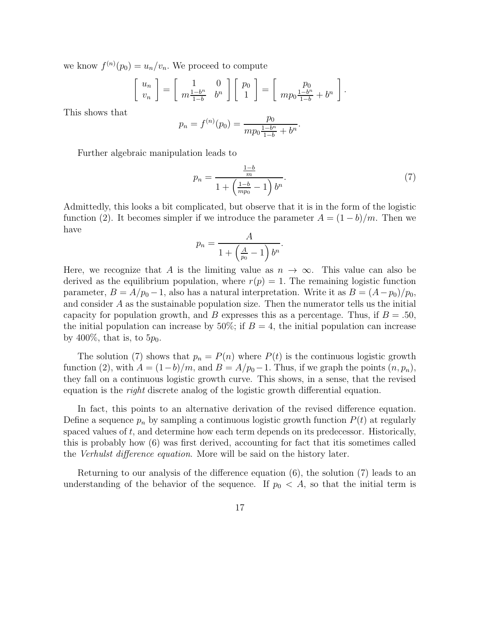we know  $f^{(n)}(p_0) = u_n/v_n$ . We proceed to compute

$$
\begin{bmatrix} u_n \\ v_n \end{bmatrix} = \begin{bmatrix} 1 & 0 \\ m \frac{1-b^n}{1-b} & b^n \end{bmatrix} \begin{bmatrix} p_0 \\ 1 \end{bmatrix} = \begin{bmatrix} p_0 \\ m p_0 \frac{1-b^n}{1-b} + b^n \end{bmatrix}.
$$

This shows that

$$
p_n = f^{(n)}(p_0) = \frac{p_0}{mp_0 \frac{1-b^n}{1-b} + b^n}.
$$

Further algebraic manipulation leads to

$$
p_n = \frac{\frac{1-b}{m}}{1 + \left(\frac{1-b}{mp_0} - 1\right)b^n}.\tag{7}
$$

Admittedly, this looks a bit complicated, but observe that it is in the form of the logistic function (2). It becomes simpler if we introduce the parameter  $A = (1 - b)/m$ . Then we have

$$
p_n = \frac{A}{1 + \left(\frac{A}{p_0} - 1\right)b^n}
$$

Here, we recognize that *A* is the limiting value as  $n \to \infty$ . This value can also be derived as the equilibrium population, where  $r(p)=1$ . The remaining logistic function parameter,  $B = A/p_0 - 1$ , also has a natural interpretation. Write it as  $B = (A - p_0)/p_0$ , and consider *A* as the sustainable population size. Then the numerator tells us the initial capacity for population growth, and *B* expresses this as a percentage. Thus, if  $B = .50$ , the initial population can increase by 50%; if  $B = 4$ , the initial population can increase by 400\%, that is, to  $5p_0$ .

The solution (7) shows that  $p_n = P(n)$  where  $P(t)$  is the continuous logistic growth function (2), with  $A = (1-b)/m$ , and  $B = A/p_0 - 1$ . Thus, if we graph the points  $(n, p_n)$ , they fall on a continuous logistic growth curve. This shows, in a sense, that the revised equation is the right discrete analog of the logistic growth differential equation.

In fact, this points to an alternative derivation of the revised difference equation. Define a sequence  $p_n$  by sampling a continuous logistic growth function  $P(t)$  at regularly spaced values of *t*, and determine how each term depends on its predecessor. Historically, this is probably how (6) was first derived, accounting for fact that itis sometimes called the Verhulst difference equation. More will be said on the history later.

Returning to our analysis of the difference equation (6), the solution (7) leads to an understanding of the behavior of the sequence. If  $p_0 < A$ , so that the initial term is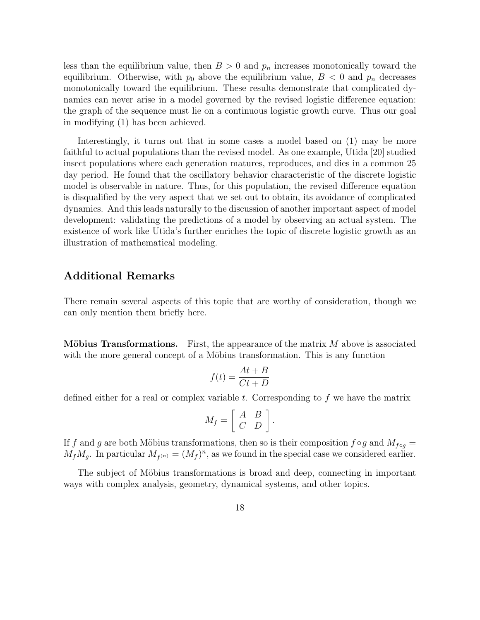less than the equilibrium value, then  $B > 0$  and  $p_n$  increases monotonically toward the equilibrium. Otherwise, with  $p_0$  above the equilibrium value,  $B < 0$  and  $p_n$  decreases monotonically toward the equilibrium. These results demonstrate that complicated dynamics can never arise in a model governed by the revised logistic difference equation: the graph of the sequence must lie on a continuous logistic growth curve. Thus our goal in modifying (1) has been achieved.

Interestingly, it turns out that in some cases a model based on (1) may be more faithful to actual populations than the revised model. As one example, Utida [20] studied insect populations where each generation matures, reproduces, and dies in a common 25 day period. He found that the oscillatory behavior characteristic of the discrete logistic model is observable in nature. Thus, for this population, the revised difference equation is disqualified by the very aspect that we set out to obtain, its avoidance of complicated dynamics. And this leads naturally to the discussion of another important aspect of model development: validating the predictions of a model by observing an actual system. The existence of work like Utida's further enriches the topic of discrete logistic growth as an illustration of mathematical modeling.

#### **Additional Remarks**

There remain several aspects of this topic that are worthy of consideration, though we can only mention them briefly here.

**Möbius Transformations.** First, the appearance of the matrix *M* above is associated with the more general concept of a Möbius transformation. This is any function

$$
f(t) = \frac{At + B}{Ct + D}
$$

defined either for a real or complex variable *t*. Corresponding to *f* we have the matrix

$$
M_f = \left[ \begin{array}{cc} A & B \\ C & D \end{array} \right]
$$

If *f* and *g* are both Möbius transformations, then so is their composition  $f \circ g$  and  $M_{f \circ g} =$  $M_f M_g$ . In particular  $M_{f^{(n)}} = (M_f)^n$ , as we found in the special case we considered earlier.

The subject of Möbius transformations is broad and deep, connecting in important ways with complex analysis, geometry, dynamical systems, and other topics.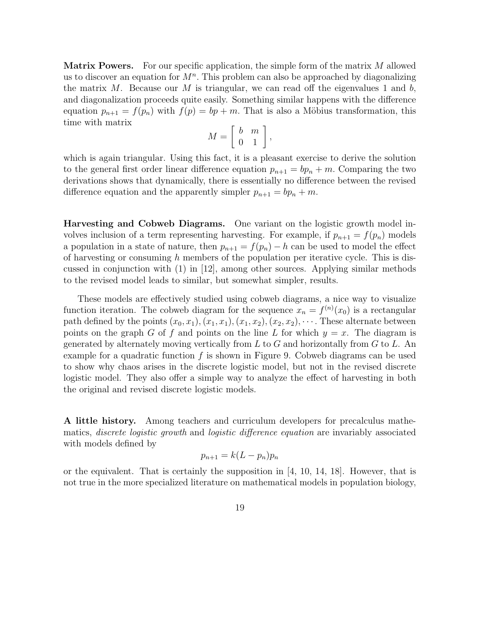**Matrix Powers.** For our specific application, the simple form of the matrix *M* allowed us to discover an equation for *M<sup>n</sup>.* This problem can also be approached by diagonalizing the matrix *M*. Because our *M* is triangular, we can read off the eigenvalues 1 and *b,* and diagonalization proceeds quite easily. Something similar happens with the difference equation  $p_{n+1} = f(p_n)$  with  $f(p) = bp + m$ . That is also a Möbius transformation, this time with matrix

$$
M = \left[ \begin{array}{cc} b & m \\ 0 & 1 \end{array} \right],
$$

which is again triangular. Using this fact, it is a pleasant exercise to derive the solution to the general first order linear difference equation  $p_{n+1} = bp_n + m$ . Comparing the two derivations shows that dynamically, there is essentially no difference between the revised difference equation and the apparently simpler  $p_{n+1} = bp_n + m$ .

**Harvesting and Cobweb Diagrams.** One variant on the logistic growth model involves inclusion of a term representing harvesting. For example, if  $p_{n+1} = f(p_n)$  models a population in a state of nature, then  $p_{n+1} = f(p_n) - h$  can be used to model the effect of harvesting or consuming *h* members of the population per iterative cycle. This is discussed in conjunction with (1) in [12], among other sources. Applying similar methods to the revised model leads to similar, but somewhat simpler, results.

These models are effectively studied using cobweb diagrams, a nice way to visualize function iteration. The cobweb diagram for the sequence  $x_n = f^{(n)}(x_0)$  is a rectangular<br>path defined by the points  $(x_0, x_1)$   $(x_1, x_1)$   $(x_2, x_2)$   $(x_3, x_3)$  ... These alternate between path defined by the points  $(x_0, x_1), (x_1, x_1), (x_1, x_2), (x_2, x_2), \cdots$ . These alternate between points on the graph *G* of *f* and points on the line *L* for which  $y = x$ . The diagram is generated by alternately moving vertically from *L* to *G* and horizontally from *G* to *L*. An example for a quadratic function *f* is shown in <sup>F</sup>igure 9. Cobweb diagrams can be used to show why chaos arises in the discrete logistic model, but not in the revised discrete logistic model. They also offer a simple way to analyze the effect of harvesting in both the original and revised discrete logistic models.

**A little history.** Among teachers and curriculum developers for precalculus mathematics, discrete logistic growth and logistic difference equation are invariably associated with models defined by

$$
p_{n+1} = k(L - p_n)p_n
$$

or the equivalent. That is certainly the supposition in [4, 10, 14, 18]. However, that is not true in the more specialized literature on mathematical models in population biology,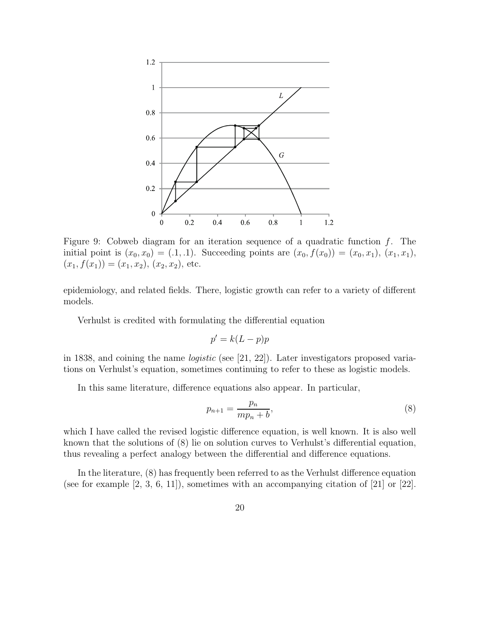

Figure 9: Cobweb diagram for an iteration sequence of a quadratic function *f*. The initial point is  $(x_0, x_0) = (0.1, 0.1)$ . Succeeding points are  $(x_0, f(x_0)) = (x_0, x_1)$ ,  $(x_1, x_1)$ ,  $(x_1, f(x_1)) = (x_1, x_2), (x_2, x_2),$  etc.

epidemiology, and related fields. There, logistic growth can refer to a variety of different models.

Verhulst is credited with formulating the differential equation

$$
p' = k(L - p)p
$$

in 1838, and coining the name logistic (see [21, 22]). Later investigators proposed variations on Verhulst's equation, sometimes continuing to refer to these as logistic models.

In this same literature, difference equations also appear. In particular,

$$
p_{n+1} = \frac{p_n}{mp_n + b},\tag{8}
$$

which I have called the revised logistic difference equation, is well known. It is also well known that the solutions of (8) lie on solution curves to Verhulst's differential equation, thus revealing a perfect analogy between the differential and difference equations.

In the literature, (8) has frequently been referred to as the Verhulst difference equation (see for example  $(2, 3, 6, 11)$ ), sometimes with an accompanying citation of  $(21)$  or  $(22)$ .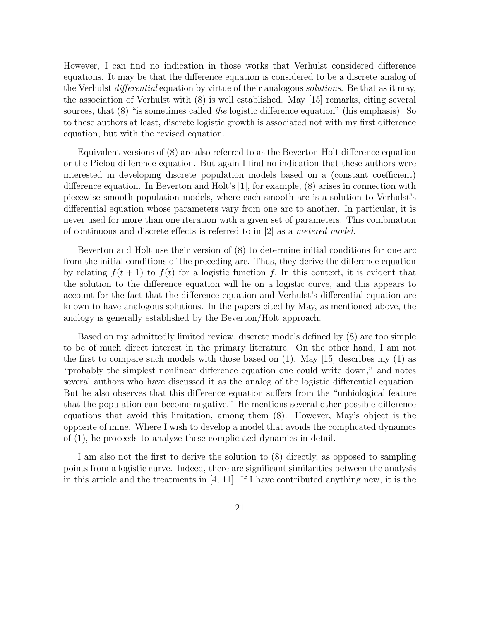However, I can find no indication in those works that Verhulst considered difference equations. It may be that the difference equation is considered to be a discrete analog of the Verhulst *differential* equation by virtue of their analogous *solutions*. Be that as it may, the association of Verhulst with (8) is well established. May [15] remarks, citing several sources, that (8) "is sometimes called the logistic difference equation" (his emphasis). So to these authors at least, discrete logistic growth is associated not with my first difference equation, but with the revised equation.

Equivalent versions of (8) are also referred to as the Beverton-Holt difference equation or the Pielou difference equation. But again I find no indication that these authors were interested in developing discrete population models based on a (constant coefficient) difference equation. In Beverton and Holt's [1], for example, (8) arises in connection with piecewise smooth population models, where each smooth arc is a solution to Verhulst's differential equation whose parameters vary from one arc to another. In particular, it is never used for more than one iteration with a given set of parameters. This combination of continuous and discrete effects is referred to in [2] as a metered model.

Beverton and Holt use their version of (8) to determine initial conditions for one arc from the initial conditions of the preceding arc. Thus, they derive the difference equation by relating  $f(t+1)$  to  $f(t)$  for a logistic function f. In this context, it is evident that the solution to the difference equation will lie on a logistic curve, and this appears to account for the fact that the difference equation and Verhulst's differential equation are known to have analogous solutions. In the papers cited by May, as mentioned above, the anology is generally established by the Beverton/Holt approach.

Based on my admittedly limited review, discrete models defined by (8) are too simple to be of much direct interest in the primary literature. On the other hand, I am not the first to compare such models with those based on  $(1)$ . May [15] describes my  $(1)$  as "probably the simplest nonlinear difference equation one could write down," and notes several authors who have discussed it as the analog of the logistic differential equation. But he also observes that this difference equation suffers from the "unbiological feature that the population can become negative." He mentions several other possible difference equations that avoid this limitation, among them (8). However, May's object is the opposite of mine. Where I wish to develop a model that avoids the complicated dynamics of (1), he proceeds to analyze these complicated dynamics in detail.

I am also not the first to derive the solution to (8) directly, as opposed to sampling points from a logistic curve. Indeed, there are significant similarities between the analysis in this article and the treatments in [4, 11]. If I have contributed anything new, it is the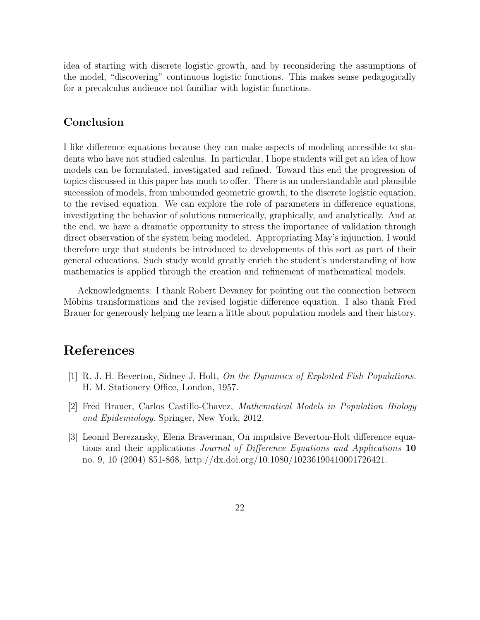idea of starting with discrete logistic growth, and by reconsidering the assumptions of the model, "discovering" continuous logistic functions. This makes sense pedagogically for a precalculus audience not familiar with logistic functions.

### **Conclusion**

I like difference equations because they can make aspects of modeling accessible to students who have not studied calculus. In particular, I hope students will get an idea of how models can be formulated, investigated and refined. Toward this end the progression of topics discussed in this paper has much to offer. There is an understandable and plausible succession of models, from unbounded geometric growth, to the discrete logistic equation, to the revised equation. We can explore the role of parameters in difference equations, investigating the behavior of solutions numerically, graphically, and analytically. And at the end, we have a dramatic opportunity to stress the importance of validation through direct observation of the system being modeled. Appropriating May's injunction, I would therefore urge that students be introduced to developments of this sort as part of their general educations. Such study would greatly enrich the student's understanding of how mathematics is applied through the creation and refinement of mathematical models.

Acknowledgments: I thank Robert Devaney for pointing out the connection between Möbius transformations and the revised logistic difference equation. I also thank Fred Brauer for generously helping me learn a little about population models and their history.

## **References**

- [1] R. J. H. Beverton, Sidney J. Holt, On the Dynamics of Exploited Fish Populations. H. M. Stationery Office, London, 1957.
- [2] Fred Brauer, Carlos Castillo-Chavez, Mathematical Models in Population Biology and Epidemiology. Springer, New York, 2012.
- [3] Leonid Berezansky, Elena Braverman, On impulsive Beverton-Holt difference equations and their applications Journal of Difference Equations and Applications **10** no. 9, 10 (2004) 851-868, http://dx.doi.org/10.1080/10236190410001726421.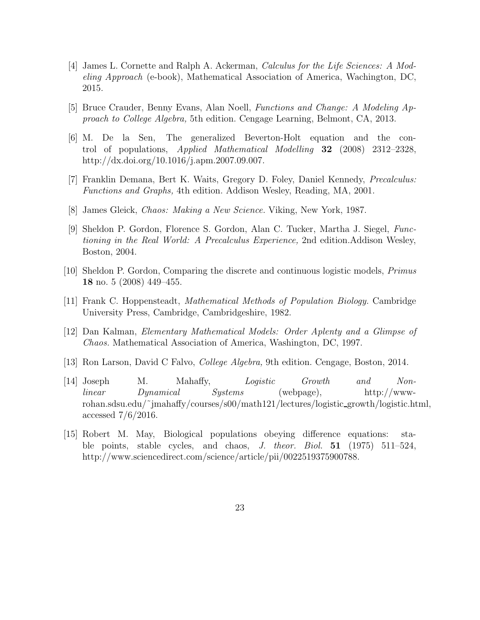- [4] James L. Cornette and Ralph A. Ackerman, Calculus for the Life Sciences: A Modeling Approach (e-book), Mathematical Association of America, Wachington, DC, 2015.
- [5] Bruce Crauder, Benny Evans, Alan Noell, Functions and Change: A Modeling Approach to College Algebra, 5th edition. Cengage Learning, Belmont, CA, 2013.
- [6] M. De la Sen, The generalized Beverton-Holt equation and the control of populations, Applied Mathematical Modelling **32** (2008) 2312–2328, http://dx.doi.org/10.1016/j.apm.2007.09.007.
- [7] Franklin Demana, Bert K. Waits, Gregory D. Foley, Daniel Kennedy, Precalculus: Functions and Graphs, 4th edition. Addison Wesley, Reading, MA, 2001.
- [8] James Gleick, Chaos: Making a New Science. Viking, New York, 1987.
- [9] Sheldon P. Gordon, Florence S. Gordon, Alan C. Tucker, Martha J. Siegel, Functioning in the Real World: A Precalculus Experience, 2nd edition.Addison Wesley, Boston, 2004.
- [10] Sheldon P. Gordon, Comparing the discrete and continuous logistic models, Primus **18** no. 5 (2008) 449–455.
- [11] Frank C. Hoppensteadt, Mathematical Methods of Population Biology. Cambridge University Press, Cambridge, Cambridgeshire, 1982.
- [12] Dan Kalman, Elementary Mathematical Models: Order Aplenty and a Glimpse of Chaos. Mathematical Association of America, Washington, DC, 1997.
- [13] Ron Larson, David C Falvo, College Algebra, 9th edition. Cengage, Boston, 2014.
- [14] Joseph M. Mahaffy, Logistic Growth and Nonlinear Dynamical Systems (webpage), http://wwwrohan.sdsu.edu/˜jmahaffy/courses/s00/math121/lectures/logistic growth/logistic.html, accessed 7/6/2016.
- [15] Robert M. May, Biological populations obeying difference equations: stable points, stable cycles, and chaos, J. theor. Biol. **51** (1975) 511–524, http://www.sciencedirect.com/science/article/pii/0022519375900788.